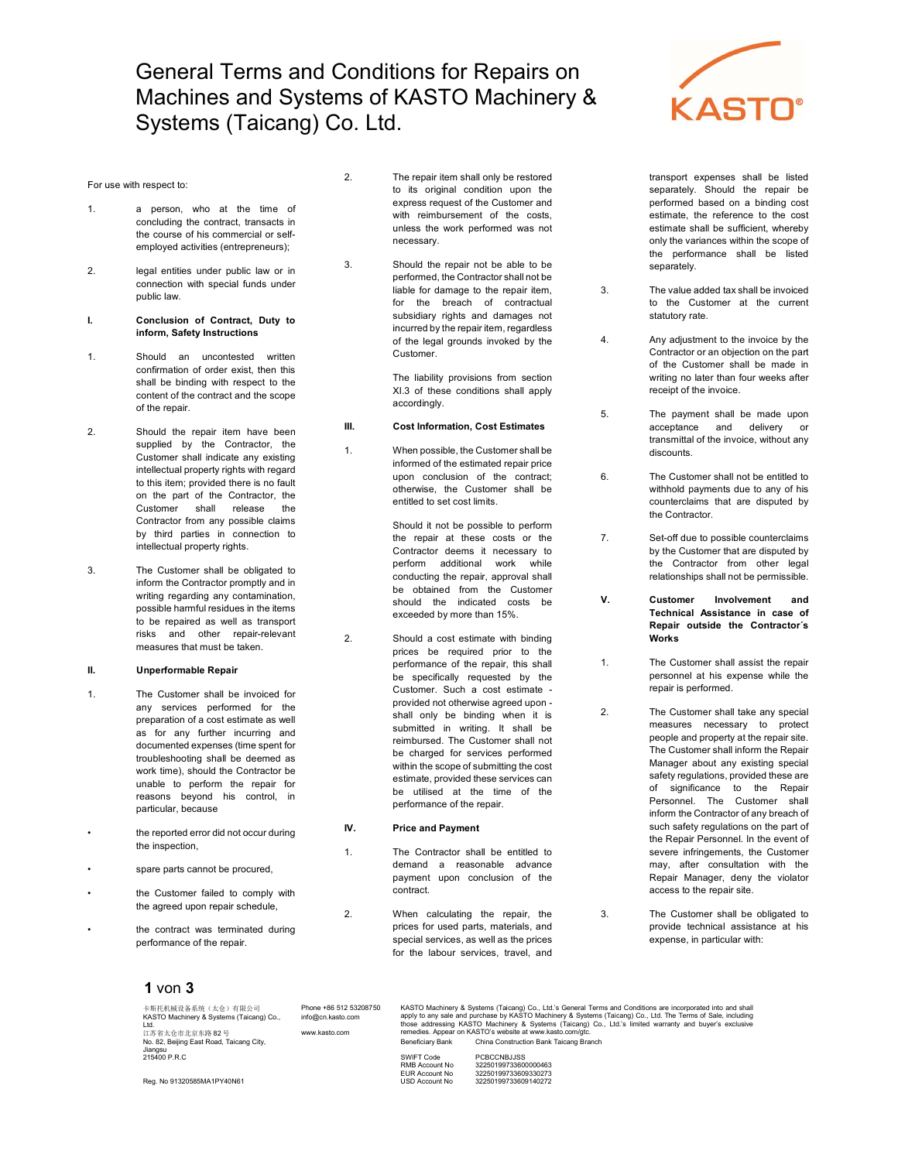## General Terms and Conditions for Repairs on Machines and Systems of KASTO Machinery & Systems (Taicang) Co. Ltd.

#### For use with respect to:

- 1. a person, who at the time of concluding the contract, transacts in the course of his commercial or selfemployed activities (entrepreneurs);
- 2. legal entities under public law or in connection with special funds under public law.

#### I. Conclusion of Contract, Duty to inform, Safety Instructions

- 1. Should an uncontested written confirmation of order exist, then this shall be binding with respect to the content of the contract and the scope of the repair.
- 2. Should the repair item have been supplied by the Contractor, the Customer shall indicate any existing intellectual property rights with regard to this item; provided there is no fault on the part of the Contractor, the Customer shall release the Contractor from any possible claims by third parties in connection to intellectual property rights.
- 3. The Customer shall be obligated to inform the Contractor promptly and in writing regarding any contamination, possible harmful residues in the items to be repaired as well as transport risks and other repair-relevant measures that must be taken.

#### II. Unperformable Repair

- 1. The Customer shall be invoiced for any services performed for the preparation of a cost estimate as well as for any further incurring and documented expenses (time spent for troubleshooting shall be deemed as work time), should the Contractor be unable to perform the repair for reasons beyond his control, in particular, because
- the reported error did not occur during the inspection,
- spare parts cannot be procured,
- the Customer failed to comply with the agreed upon repair schedule,
- the contract was terminated during performance of the repair.
- 2. The repair item shall only be restored to its original condition upon the express request of the Customer and with reimbursement of the costs, unless the work performed was not necessary.
- 3. Should the repair not be able to be performed, the Contractor shall not be liable for damage to the repair item, for the breach of contractual subsidiary rights and damages not incurred by the repair item, regardless of the legal grounds invoked by the Customer.

 The liability provisions from section XI.3 of these conditions shall apply accordingly.

### III. Cost Information, Cost Estimates

1. When possible, the Customer shall be informed of the estimated repair price upon conclusion of the contract; otherwise, the Customer shall be entitled to set cost limits.

> Should it not be possible to perform the repair at these costs or the Contractor deems it necessary to perform additional work while conducting the repair, approval shall be obtained from the Customer should the indicated costs be exceeded by more than 15%.

2. Should a cost estimate with binding prices be required prior to the performance of the repair, this shall be specifically requested by the Customer. Such a cost estimate provided not otherwise agreed upon shall only be binding when it is submitted in writing. It shall be reimbursed. The Customer shall not be charged for services performed within the scope of submitting the cost estimate, provided these services can be utilised at the time of the performance of the repair.

#### IV. Price and Payment

- 1. The Contractor shall be entitled to demand a reasonable advance payment upon conclusion of the contract.
- 2. When calculating the repair, the prices for used parts, materials, and special services, as well as the prices for the labour services, travel, and



transport expenses shall be listed separately. Should the repair be performed based on a binding cost estimate, the reference to the cost estimate shall be sufficient, whereby only the variances within the scope of the performance shall be listed separately.

- 3. The value added tax shall be invoiced to the Customer at the current statutory rate.
- 4. Any adjustment to the invoice by the Contractor or an objection on the part of the Customer shall be made in writing no later than four weeks after receipt of the invoice.
- 5. The payment shall be made upon acceptance and delivery or transmittal of the invoice, without any discounts.

6. The Customer shall not be entitled to withhold payments due to any of his counterclaims that are disputed by the Contractor.

7. Set-off due to possible counterclaims by the Customer that are disputed by the Contractor from other legal relationships shall not be permissible.

V. Customer Involvement and Technical Assistance in case of Repair outside the Contractor´s Works

- 1. The Customer shall assist the repair personnel at his expense while the repair is performed.
- 2. The Customer shall take any special measures necessary to protect people and property at the repair site. The Customer shall inform the Repair Manager about any existing special safety regulations, provided these are of significance to the Repair Personnel. The Customer shall inform the Contractor of any breach of such safety regulations on the part of the Repair Personnel. In the event of severe infringements, the Customer may, after consultation with the Repair Manager, deny the violator access to the repair site.

3. The Customer shall be obligated to provide technical assistance at his expense, in particular with:

## 1 von 3

| 卡斯托机械设备系统(太仓)有限公司<br>KASTO Machinery & Systems (Taicang) Co.,<br>1 td<br>江苏省太仓市北京东路 82号 | Phone +86 512 53208750<br>info@cn.kasto.com<br>www.kasto.com | KASTO Machinery & Systems (Taicang) Co., Ltd.'s General Terms and Conditions are incorporated into and shall<br>apply to any sale and purchase by KASTO Machinery & Systems (Taicang) Co., Ltd. The Terms of Sale, including<br>those addressing KASTO Machinery & Systems (Taicang) Co., Ltd.'s limited warranty and buyer's exclusive<br>remedies. Appear on KASTO's website at www.kasto.com/gtc. |                                        |
|-----------------------------------------------------------------------------------------|--------------------------------------------------------------|------------------------------------------------------------------------------------------------------------------------------------------------------------------------------------------------------------------------------------------------------------------------------------------------------------------------------------------------------------------------------------------------------|----------------------------------------|
| No. 82. Beiling East Road. Taicang City.<br>Jiangsu                                     |                                                              | Beneficiary Bank                                                                                                                                                                                                                                                                                                                                                                                     | China Construction Bank Taicang Branch |
| 215400 P.R.C                                                                            |                                                              | SWIFT Code                                                                                                                                                                                                                                                                                                                                                                                           | PCBCCNB.I.ISS                          |
|                                                                                         |                                                              | RMB Account No                                                                                                                                                                                                                                                                                                                                                                                       | 32250199733600000463                   |
|                                                                                         |                                                              | EUR Account No                                                                                                                                                                                                                                                                                                                                                                                       | 32250199733609330273                   |
| Reg. No 91320585MA1PY40N61                                                              |                                                              | USD Account No                                                                                                                                                                                                                                                                                                                                                                                       | 32250199733609140272                   |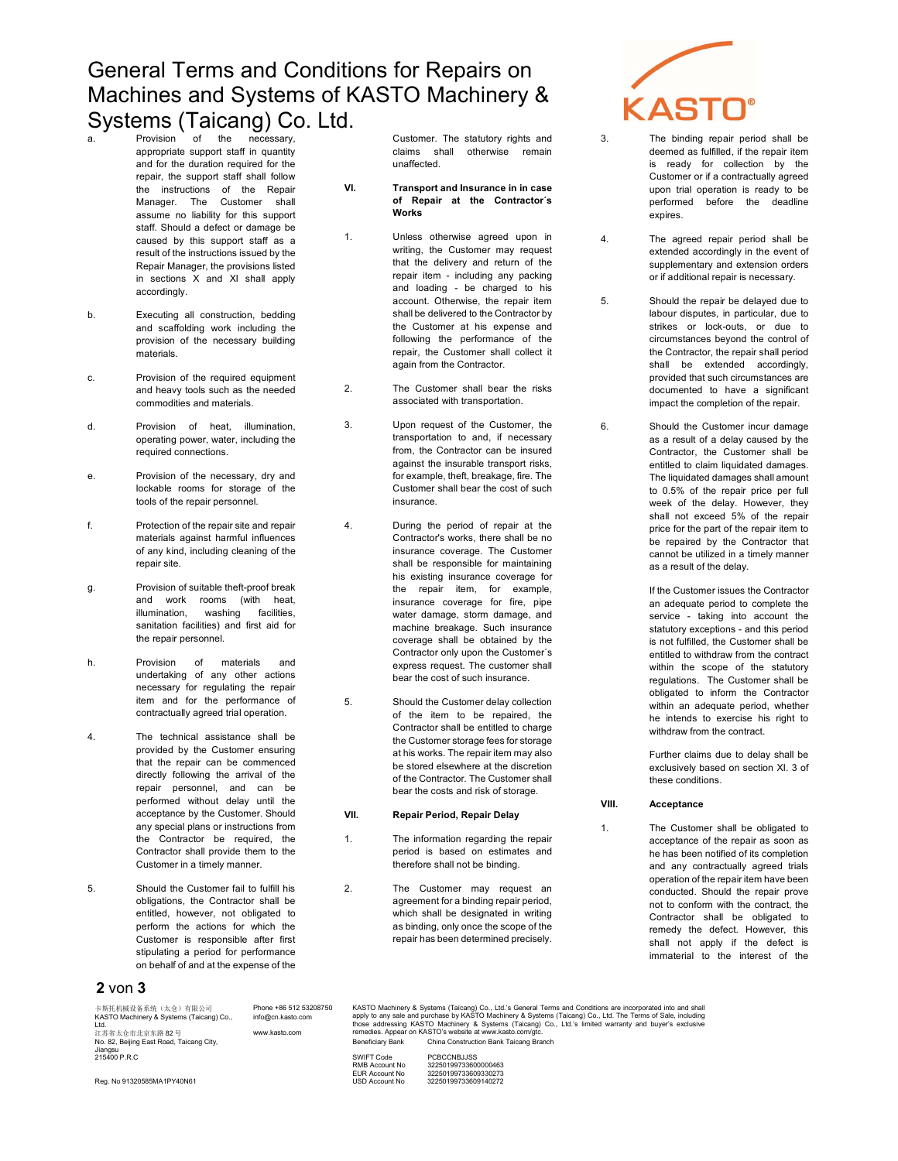# General Terms and Conditions for Repairs on Machines and Systems of KASTO Machinery & Systems (Taicang) Co. Ltd.

- of the appropriate support staff in quantity and for the duration required for the repair, the support staff shall follow the instructions of the Repair Manager. The Customer shall assume no liability for this support staff. Should a defect or damage be caused by this support staff as a result of the instructions issued by the Repair Manager, the provisions listed in sections X and XI shall apply accordingly.
- b. Executing all construction, bedding and scaffolding work including the provision of the necessary building materials.
- c. Provision of the required equipment and heavy tools such as the needed commodities and materials.
- d. Provision of heat, illumination, operating power, water, including the required connections.
- e. Provision of the necessary, dry and lockable rooms for storage of the tools of the repair personnel.
- f. Protection of the repair site and repair materials against harmful influences of any kind, including cleaning of the repair site.
- g. Provision of suitable theft-proof break and work rooms (with heat,<br>illumination, washing facilities, illumination, sanitation facilities) and first aid for the repair personnel.
- h. Provision of materials and undertaking of any other actions necessary for regulating the repair item and for the performance of contractually agreed trial operation.
- 4. The technical assistance shall be provided by the Customer ensuring that the repair can be commenced directly following the arrival of the repair personnel, and can be performed without delay until the acceptance by the Customer. Should any special plans or instructions from the Contractor be required, the Contractor shall provide them to the Customer in a timely manner.
- 5. Should the Customer fail to fulfill his obligations, the Contractor shall be entitled, however, not obligated to perform the actions for which the Customer is responsible after first stipulating a period for performance on behalf of and at the expense of the

## 2 von 3

Customer. The statutory rights and claims shall otherwise remain unaffected.

- VI. Transport and Insurance in in case of Repair at the Contractor´s Works
- 1. Unless otherwise agreed upon in writing, the Customer may request that the delivery and return of the repair item - including any packing and loading - be charged to his account. Otherwise, the repair item shall be delivered to the Contractor by the Customer at his expense and following the performance of the repair, the Customer shall collect it again from the Contractor.
- 2. The Customer shall bear the risks associated with transportation.
- 3. Upon request of the Customer, the transportation to and, if necessary from, the Contractor can be insured against the insurable transport risks, for example, theft, breakage, fire. The Customer shall bear the cost of such insurance.
- 4. During the period of repair at the Contractor's works, there shall be no insurance coverage. The Customer shall be responsible for maintaining his existing insurance coverage for the repair item, for example, insurance coverage for fire, pipe water damage, storm damage, and machine breakage. Such insurance coverage shall be obtained by the Contractor only upon the Customer´s express request. The customer shall bear the cost of such insurance.
- 5. Should the Customer delay collection of the item to be repaired, the Contractor shall be entitled to charge the Customer storage fees for storage at his works. The repair item may also be stored elsewhere at the discretion of the Contractor. The Customer shall bear the costs and risk of storage.

#### VII. Repair Period, Repair Delay

- 1. The information regarding the repair period is based on estimates and therefore shall not be binding.
- 2. The Customer may request an agreement for a binding repair period, which shall be designated in writing as binding, only once the scope of the repair has been determined precisely.



3. The binding repair period shall be deemed as fulfilled, if the repair item is ready for collection by the Customer or if a contractually agreed upon trial operation is ready to be performed before the deadline expires.

4. The agreed repair period shall be extended accordingly in the event of supplementary and extension orders or if additional repair is necessary.

- 5. Should the repair be delayed due to labour disputes, in particular, due to strikes or lock-outs, or due to circumstances beyond the control of the Contractor, the repair shall period shall be extended accordingly, provided that such circumstances are documented to have a significant impact the completion of the repair.
- 6. Should the Customer incur damage as a result of a delay caused by the Contractor, the Customer shall be entitled to claim liquidated damages. The liquidated damages shall amount to 0.5% of the repair price per full week of the delay. However, they shall not exceed 5% of the repair price for the part of the repair item to be repaired by the Contractor that cannot be utilized in a timely manner as a result of the delay.

 If the Customer issues the Contractor an adequate period to complete the service - taking into account the statutory exceptions - and this period is not fulfilled, the Customer shall be entitled to withdraw from the contract within the scope of the statutory regulations. The Customer shall be obligated to inform the Contractor within an adequate period, whether he intends to exercise his right to withdraw from the contract.

 Further claims due to delay shall be exclusively based on section XI. 3 of these conditions.

#### VIII. Acceptance

1. The Customer shall be obligated to acceptance of the repair as soon as he has been notified of its completion and any contractually agreed trials operation of the repair item have been conducted. Should the repair prove not to conform with the contract, the Contractor shall be obligated to remedy the defect. However, this shall not apply if the defect is immaterial to the interest of the

卡斯托机被设备系统(太仓)有限公司 Phone +86 512 53208750 KASTO Machinery & Systems (Taicang) Co., Ltd.'s General Terms and Conditions are incorporated into and shall the and shall the and shall the most of ASTO Machinery & Systems 卡斯托机械设备系统(太仓)有限公司<br>KASTO Machinery & Systems (Taicang) Co.,<br>Ltd Ltd. 江苏省太仓市北京东路 82 号 www.kasto.com No. 82, Beijing East Road, Taicang City, info@cn.kasto.com Jiangsu<br>215400 P.R.C Beneficiary Bank China Construction Bank Taicang Branch SWIFT Code<br>RMB Account No SWIFT Code <br>
RMB Account No 32250199733600000463<br>

EUR Account No 32250199733609330273 EUR Account No 32250199733609330273

Reg. No 91320585MA1PY40N61